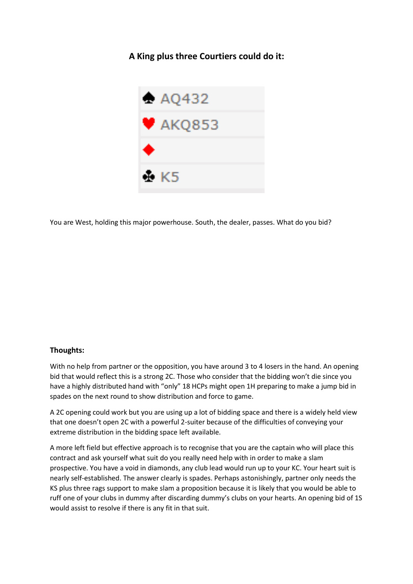**A King plus three Courtiers could do it:**



You are West, holding this major powerhouse. South, the dealer, passes. What do you bid?

## **Thoughts:**

With no help from partner or the opposition, you have around 3 to 4 losers in the hand. An opening bid that would reflect this is a strong 2C. Those who consider that the bidding won't die since you have a highly distributed hand with "only" 18 HCPs might open 1H preparing to make a jump bid in spades on the next round to show distribution and force to game.

A 2C opening could work but you are using up a lot of bidding space and there is a widely held view that one doesn't open 2C with a powerful 2-suiter because of the difficulties of conveying your extreme distribution in the bidding space left available.

A more left field but effective approach is to recognise that you are the captain who will place this contract and ask yourself what suit do you really need help with in order to make a slam prospective. You have a void in diamonds, any club lead would run up to your KC. Your heart suit is nearly self-established. The answer clearly is spades. Perhaps astonishingly, partner only needs the KS plus three rags support to make slam a proposition because it is likely that you would be able to ruff one of your clubs in dummy after discarding dummy's clubs on your hearts. An opening bid of 1S would assist to resolve if there is any fit in that suit.